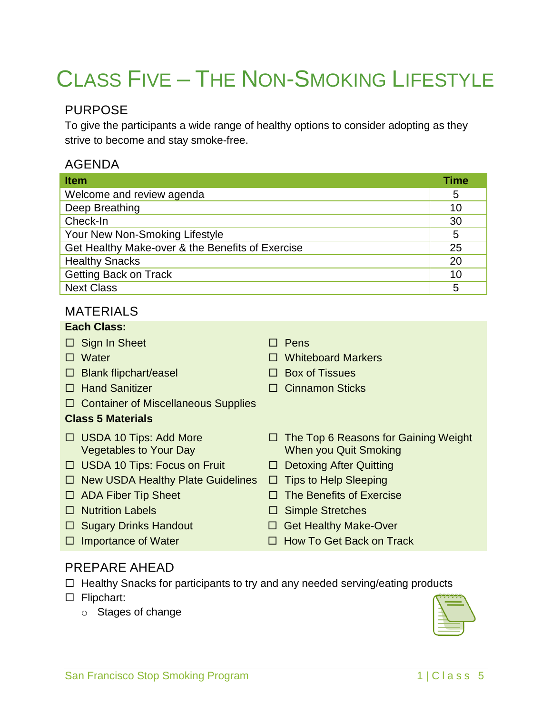# CLASS FIVE – THE NON-SMOKING LIFESTYLE

# PURPOSE

To give the participants a wide range of healthy options to consider adopting as they strive to become and stay smoke-free.

# AGENDA

| <b>Item</b>                                      | <b>Time</b> |
|--------------------------------------------------|-------------|
| Welcome and review agenda                        | 5           |
| Deep Breathing                                   | 10          |
| Check-In                                         | 30          |
| Your New Non-Smoking Lifestyle                   | 5           |
| Get Healthy Make-over & the Benefits of Exercise | 25          |
| <b>Healthy Snacks</b>                            | 20          |
| <b>Getting Back on Track</b>                     | 10          |
| <b>Next Class</b>                                | 5           |

## MATERIALS

#### **Each Class:**

- $\Box$  Sign In Sheet  $\Box$  Pens
- 
- $\Box$  Blank flipchart/easel  $\Box$  Box of Tissues
- 
- □ Container of Miscellaneous Supplies

#### **Class 5 Materials**

- □ USDA 10 Tips: Add More Vegetables to Your Day
- □ USDA 10 Tips: Focus on Fruit □ Detoxing After Quitting
- $\Box$  New USDA Healthy Plate Guidelines  $\Box$  Tips to Help Sleeping
- 
- 
- 
- 
- 
- Water Whiteboard Markers
	-
- □ Hand Sanitizer Cinnamon Sticks
	- $\Box$  The Top 6 Reasons for Gaining Weight When you Quit Smoking
	-
	-
- $\Box$  ADA Fiber Tip Sheet  $\Box$  The Benefits of Exercise
- Nutrition Labels Simple Stretches
- □ Sugary Drinks Handout □ Get Healthy Make-Over
- $\Box$  Importance of Water  $\Box$  How To Get Back on Track

## PREPARE AHEAD

- $\Box$  Healthy Snacks for participants to try and any needed serving/eating products
- □ Flipchart:
	- o Stages of change

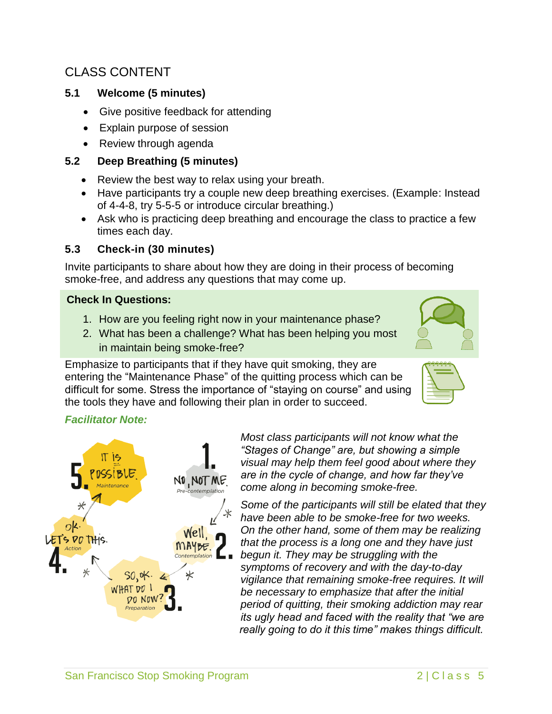# CLASS CONTENT

#### **5.1 Welcome (5 minutes)**

- Give positive feedback for attending
- Explain purpose of session
- Review through agenda

#### **5.2 Deep Breathing (5 minutes)**

- Review the best way to relax using your breath.
- Have participants try a couple new deep breathing exercises. (Example: Instead of 4-4-8, try 5-5-5 or introduce circular breathing.)
- Ask who is practicing deep breathing and encourage the class to practice a few times each day.

## **5.3 Check-in (30 minutes)**

Invite participants to share about how they are doing in their process of becoming smoke-free, and address any questions that may come up.

#### **Check In Questions:**

- 1. How are you feeling right now in your maintenance phase?
- 2. What has been a challenge? What has been helping you most in maintain being smoke-free?

Emphasize to participants that if they have quit smoking, they are entering the "Maintenance Phase" of the quitting process which can be difficult for some. Stress the importance of "staying on course" and using the tools they have and following their plan in order to succeed.

# *Facilitator Note:*



*Most class participants will not know what the "Stages of Change" are, but showing a simple visual may help them feel good about where they are in the cycle of change, and how far they've come along in becoming smoke-free.* 

*Some of the participants will still be elated that they have been able to be smoke-free for two weeks. On the other hand, some of them may be realizing that the process is a long one and they have just begun it. They may be struggling with the symptoms of recovery and with the day-to-day vigilance that remaining smoke-free requires. It will be necessary to emphasize that after the initial period of quitting, their smoking addiction may rear its ugly head and faced with the reality that "we are really going to do it this time" makes things difficult.* 

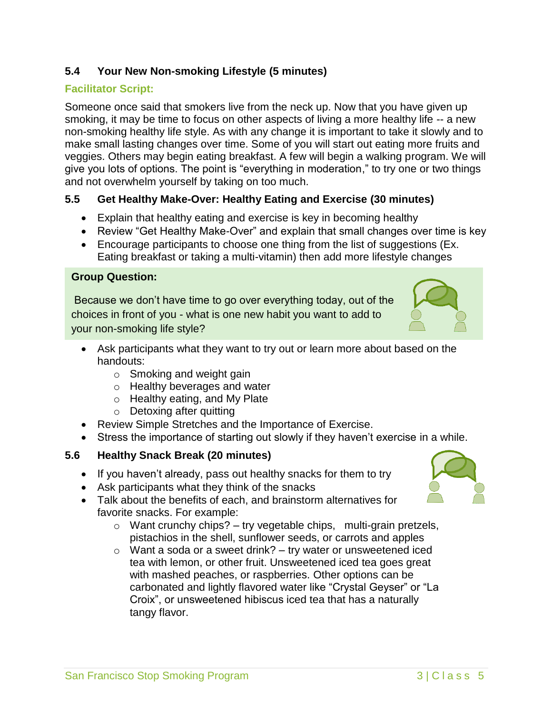## **5.4 Your New Non-smoking Lifestyle (5 minutes)**

#### **Facilitator Script:**

Someone once said that smokers live from the neck up. Now that you have given up smoking, it may be time to focus on other aspects of living a more healthy life -- a new non-smoking healthy life style. As with any change it is important to take it slowly and to make small lasting changes over time. Some of you will start out eating more fruits and veggies. Others may begin eating breakfast. A few will begin a walking program. We will give you lots of options. The point is "everything in moderation," to try one or two things and not overwhelm yourself by taking on too much.

#### **5.5 Get Healthy Make-Over: Healthy Eating and Exercise (30 minutes)**

- Explain that healthy eating and exercise is key in becoming healthy
- Review "Get Healthy Make-Over" and explain that small changes over time is key
- Encourage participants to choose one thing from the list of suggestions (Ex. Eating breakfast or taking a multi-vitamin) then add more lifestyle changes

#### **Group Question:**

Because we don't have time to go over everything today, out of the choices in front of you - what is one new habit you want to add to your non-smoking life style?

- Ask participants what they want to try out or learn more about based on the handouts:
	- $\circ$  Smoking and weight gain
	- o Healthy beverages and water
	- o Healthy eating, and My Plate
	- o Detoxing after quitting
- Review Simple Stretches and the Importance of Exercise.
- Stress the importance of starting out slowly if they haven't exercise in a while.

#### **5.6 Healthy Snack Break (20 minutes)**

- If you haven't already, pass out healthy snacks for them to try
- Ask participants what they think of the snacks
- Talk about the benefits of each, and brainstorm alternatives for favorite snacks. For example:
	- $\circ$  Want crunchy chips? try vegetable chips, multi-grain pretzels, pistachios in the shell, sunflower seeds, or carrots and apples
	- $\circ$  Want a soda or a sweet drink? try water or unsweetened iced tea with lemon, or other fruit. Unsweetened iced tea goes great with mashed peaches, or raspberries. Other options can be carbonated and lightly flavored water like "Crystal Geyser" or "La Croix", or unsweetened hibiscus iced tea that has a naturally tangy flavor.